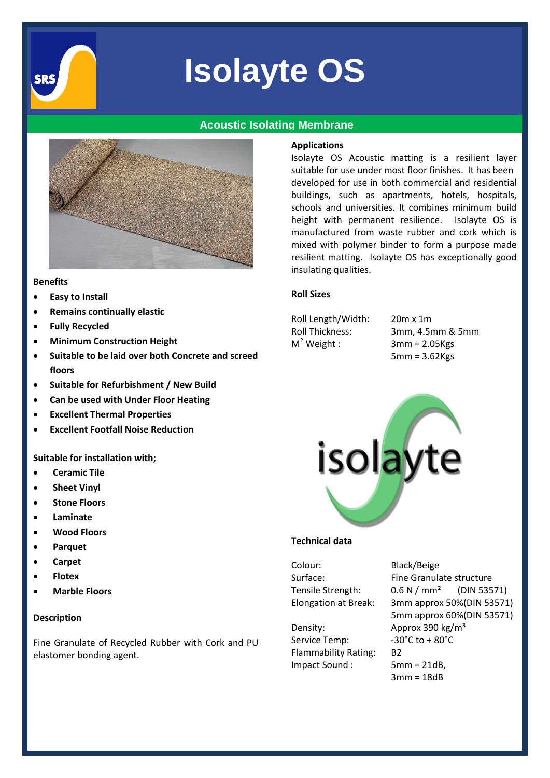

# **Isolayte OS**

# **Acoustic Isolating Membrane**



#### **Benefits**

- **Easy to Install**
- **Remains continually elastic**
- **Fully Recycled**
- **Minimum Construction Height**
- **Suitable to be laid over both Concrete and screed floors**
- **Suitable for Refurbishment / New Build**
- **Can be used with Under Floor Heating**
- **Excellent Thermal Properties**
- **Excellent Footfall Noise Reduction**

**Suitable for installation with;**

- **Ceramic Tile**
- **Sheet Vinyl**
- **Stone Floors**
- **Laminate**
- **Wood Floors**
- **Parquet**
- **Carpet**
- **Flotex**
- **Marble Floors**

## **Description**

Fine Granulate of Recycled Rubber with Cork and PU elastomer bonding agent.

## **Applications**

Isolayte OS Acoustic matting is a resilient layer suitable for use under most floor finishes. It has been developed for use in both commercial and residential buildings, such as apartments, hotels, hospitals, schools and universities. It combines minimum build height with permanent resilience. Isolayte OS is manufactured from waste rubber and cork which is mixed with polymer binder to form a purpose made resilient matting. Isolayte OS has exceptionally good insulating qualities.

# **Roll Sizes**

Roll Length/Width: 20m x 1m  $M<sup>2</sup>$  Weight :

Roll Thickness: 3mm, 4.5mm & 5mm  $3mm = 2.05Kgs$ 5mm = 3.62Kgs



## **Technical data**

Colour: Black/Beige

Density: Approx 390 kg/m<sup>3</sup> Service Temp: -30°C to + 80°C Flammability Rating: B2 Impact Sound : 5mm = 21dB,

Surface: Fine Granulate structure Tensile Strength: 0.6 N / mm² (DIN 53571) Elongation at Break: 3mm approx 50%(DIN 53571) 5mm approx 60%(DIN 53571) 3mm = 18dB